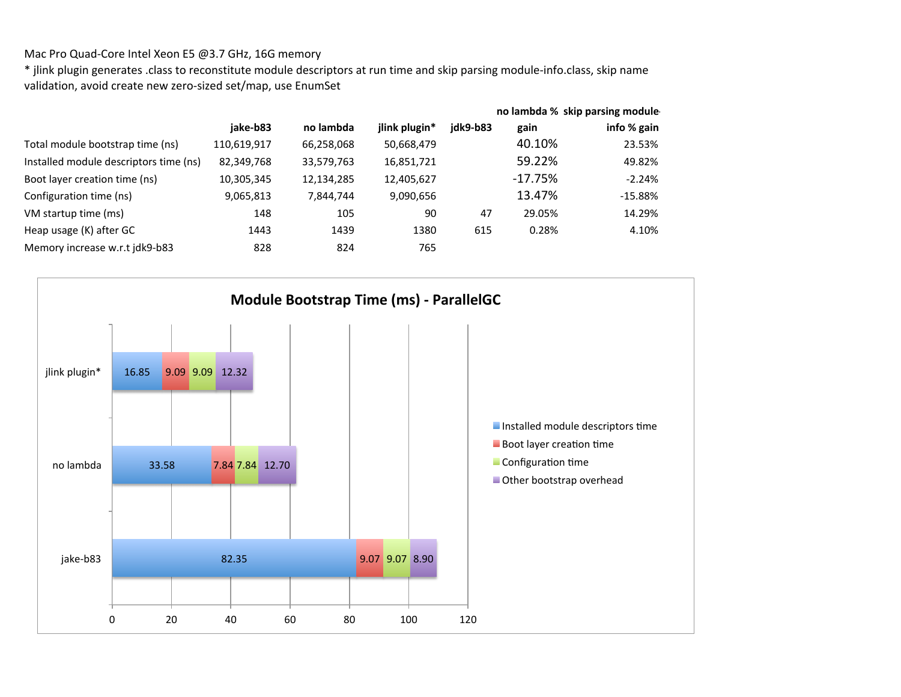## Mac Pro Quad-Core Intel Xeon E5 @3.7 GHz, 16G memory

\* jlink plugin generates .class to reconstitute module descriptors at run time and skip parsing module-info.class, skip name validation, avoid create new zero-sized set/map, use EnumSet

|                                        |             |            |               |          | no lambda % skip parsing module |             |  |
|----------------------------------------|-------------|------------|---------------|----------|---------------------------------|-------------|--|
|                                        | jake-b83    | no lambda  | jlink plugin* | idk9-b83 | gain                            | info % gain |  |
| Total module bootstrap time (ns)       | 110,619,917 | 66,258,068 | 50,668,479    |          | 40.10%                          | 23.53%      |  |
| Installed module descriptors time (ns) | 82,349,768  | 33,579,763 | 16,851,721    |          | 59.22%                          | 49.82%      |  |
| Boot layer creation time (ns)          | 10,305,345  | 12,134,285 | 12,405,627    |          | $-17.75%$                       | $-2.24%$    |  |
| Configuration time (ns)                | 9,065,813   | 7,844,744  | 9,090,656     |          | 13.47%                          | $-15.88%$   |  |
| VM startup time (ms)                   | 148         | 105        | 90            | 47       | 29.05%                          | 14.29%      |  |
| Heap usage (K) after GC                | 1443        | 1439       | 1380          | 615      | 0.28%                           | 4.10%       |  |
| Memory increase w.r.t jdk9-b83         | 828         | 824        | 765           |          |                                 |             |  |